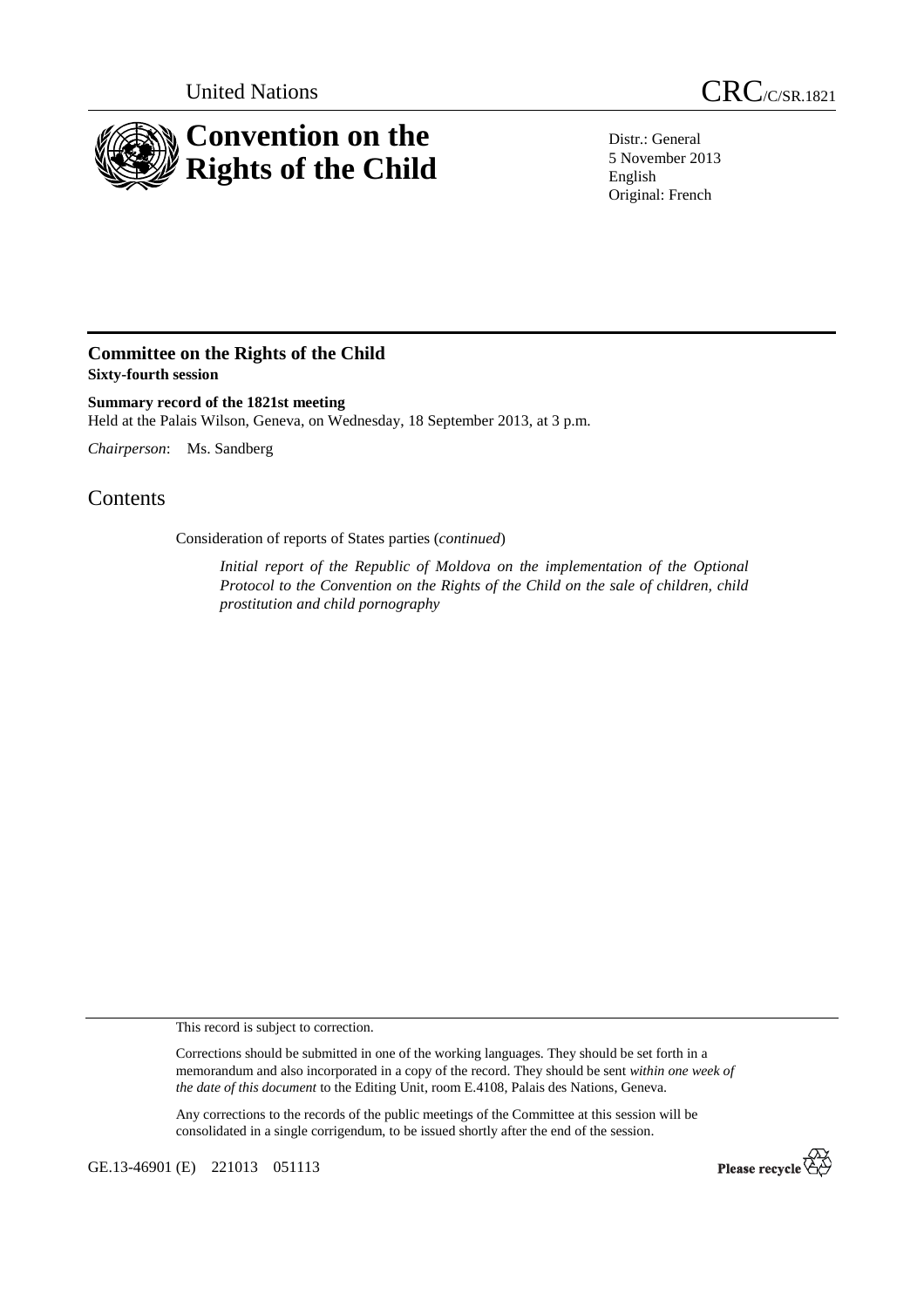

United Nations CRC/C/SR.1821

Distr.: General 5 November 2013 English Original: French

## **Committee on the Rights of the Child Sixty-fourth session**

**Summary record of the 1821st meeting**  Held at the Palais Wilson, Geneva, on Wednesday, 18 September 2013, at 3 p.m.

*Chairperson*: Ms. Sandberg

## **Contents**

Consideration of reports of States parties (*continued*)

*Initial report of the Republic of Moldova on the implementation of the Optional Protocol to the Convention on the Rights of the Child on the sale of children, child prostitution and child pornography* 

This record is subject to correction.

Corrections should be submitted in one of the working languages. They should be set forth in a memorandum and also incorporated in a copy of the record. They should be sent *within one week of the date of this document* to the Editing Unit, room E.4108, Palais des Nations, Geneva.

Any corrections to the records of the public meetings of the Committee at this session will be consolidated in a single corrigendum, to be issued shortly after the end of the session.

GE.13-46901 (E) 221013 051113

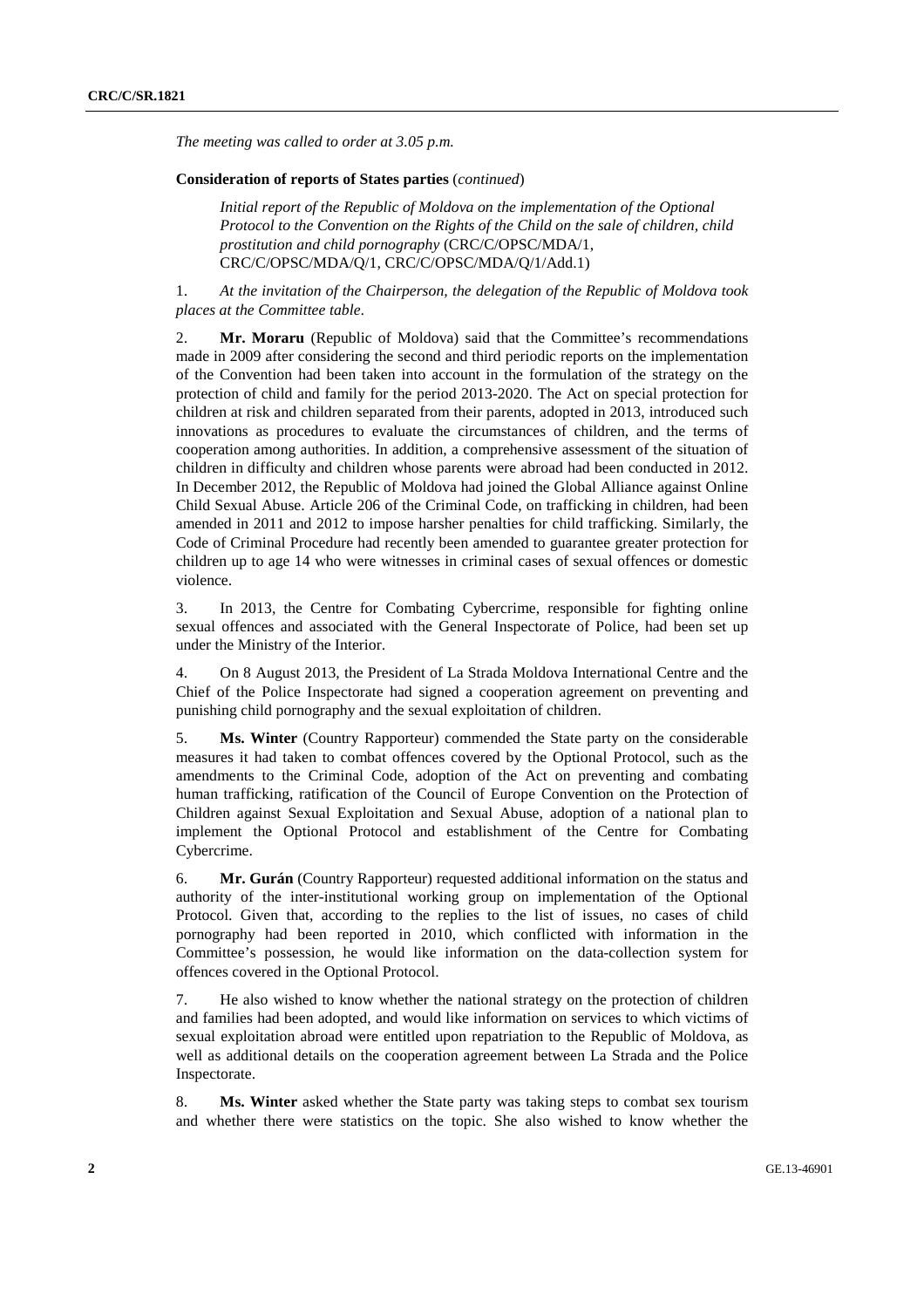*The meeting was called to order at 3.05 p.m.* 

## **Consideration of reports of States parties** (*continued*)

*Initial report of the Republic of Moldova on the implementation of the Optional Protocol to the Convention on the Rights of the Child on the sale of children, child prostitution and child pornography* (CRC/C/OPSC/MDA/1, CRC/C/OPSC/MDA/Q/1, CRC/C/OPSC/MDA/Q/1/Add.1)

1. *At the invitation of the Chairperson, the delegation of the Republic of Moldova took places at the Committee table*.

2. **Mr. Moraru** (Republic of Moldova) said that the Committee's recommendations made in 2009 after considering the second and third periodic reports on the implementation of the Convention had been taken into account in the formulation of the strategy on the protection of child and family for the period 2013-2020. The Act on special protection for children at risk and children separated from their parents, adopted in 2013, introduced such innovations as procedures to evaluate the circumstances of children, and the terms of cooperation among authorities. In addition, a comprehensive assessment of the situation of children in difficulty and children whose parents were abroad had been conducted in 2012. In December 2012, the Republic of Moldova had joined the Global Alliance against Online Child Sexual Abuse. Article 206 of the Criminal Code, on trafficking in children, had been amended in 2011 and 2012 to impose harsher penalties for child trafficking. Similarly, the Code of Criminal Procedure had recently been amended to guarantee greater protection for children up to age 14 who were witnesses in criminal cases of sexual offences or domestic violence.

3. In 2013, the Centre for Combating Cybercrime, responsible for fighting online sexual offences and associated with the General Inspectorate of Police, had been set up under the Ministry of the Interior.

4. On 8 August 2013, the President of La Strada Moldova International Centre and the Chief of the Police Inspectorate had signed a cooperation agreement on preventing and punishing child pornography and the sexual exploitation of children.

5. **Ms. Winter** (Country Rapporteur) commended the State party on the considerable measures it had taken to combat offences covered by the Optional Protocol, such as the amendments to the Criminal Code, adoption of the Act on preventing and combating human trafficking, ratification of the Council of Europe Convention on the Protection of Children against Sexual Exploitation and Sexual Abuse, adoption of a national plan to implement the Optional Protocol and establishment of the Centre for Combating Cybercrime.

6. **Mr. Gurán** (Country Rapporteur) requested additional information on the status and authority of the inter-institutional working group on implementation of the Optional Protocol. Given that, according to the replies to the list of issues, no cases of child pornography had been reported in 2010, which conflicted with information in the Committee's possession, he would like information on the data-collection system for offences covered in the Optional Protocol.

7. He also wished to know whether the national strategy on the protection of children and families had been adopted, and would like information on services to which victims of sexual exploitation abroad were entitled upon repatriation to the Republic of Moldova, as well as additional details on the cooperation agreement between La Strada and the Police Inspectorate.

8. **Ms. Winter** asked whether the State party was taking steps to combat sex tourism and whether there were statistics on the topic. She also wished to know whether the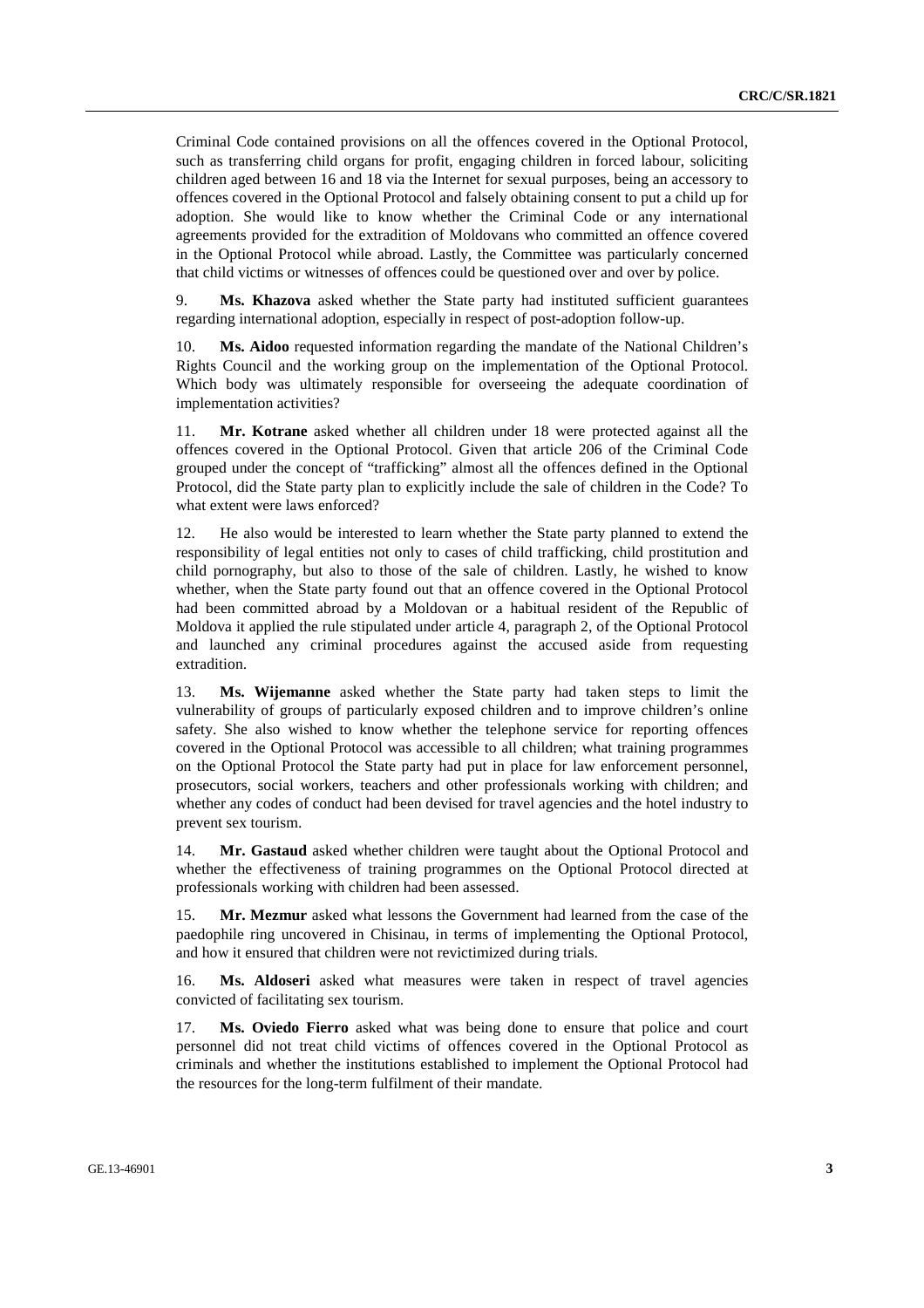Criminal Code contained provisions on all the offences covered in the Optional Protocol, such as transferring child organs for profit, engaging children in forced labour, soliciting children aged between 16 and 18 via the Internet for sexual purposes, being an accessory to offences covered in the Optional Protocol and falsely obtaining consent to put a child up for adoption. She would like to know whether the Criminal Code or any international agreements provided for the extradition of Moldovans who committed an offence covered in the Optional Protocol while abroad. Lastly, the Committee was particularly concerned that child victims or witnesses of offences could be questioned over and over by police.

9. **Ms. Khazova** asked whether the State party had instituted sufficient guarantees regarding international adoption, especially in respect of post-adoption follow-up.

10. **Ms. Aidoo** requested information regarding the mandate of the National Children's Rights Council and the working group on the implementation of the Optional Protocol. Which body was ultimately responsible for overseeing the adequate coordination of implementation activities?

11. **Mr. Kotrane** asked whether all children under 18 were protected against all the offences covered in the Optional Protocol. Given that article 206 of the Criminal Code grouped under the concept of "trafficking" almost all the offences defined in the Optional Protocol, did the State party plan to explicitly include the sale of children in the Code? To what extent were laws enforced?

12. He also would be interested to learn whether the State party planned to extend the responsibility of legal entities not only to cases of child trafficking, child prostitution and child pornography, but also to those of the sale of children. Lastly, he wished to know whether, when the State party found out that an offence covered in the Optional Protocol had been committed abroad by a Moldovan or a habitual resident of the Republic of Moldova it applied the rule stipulated under article 4, paragraph 2, of the Optional Protocol and launched any criminal procedures against the accused aside from requesting extradition.

13. **Ms. Wijemanne** asked whether the State party had taken steps to limit the vulnerability of groups of particularly exposed children and to improve children's online safety. She also wished to know whether the telephone service for reporting offences covered in the Optional Protocol was accessible to all children; what training programmes on the Optional Protocol the State party had put in place for law enforcement personnel, prosecutors, social workers, teachers and other professionals working with children; and whether any codes of conduct had been devised for travel agencies and the hotel industry to prevent sex tourism.

14. **Mr. Gastaud** asked whether children were taught about the Optional Protocol and whether the effectiveness of training programmes on the Optional Protocol directed at professionals working with children had been assessed.

15. **Mr. Mezmur** asked what lessons the Government had learned from the case of the paedophile ring uncovered in Chisinau, in terms of implementing the Optional Protocol, and how it ensured that children were not revictimized during trials.

16. **Ms. Aldoseri** asked what measures were taken in respect of travel agencies convicted of facilitating sex tourism.

17. **Ms. Oviedo Fierro** asked what was being done to ensure that police and court personnel did not treat child victims of offences covered in the Optional Protocol as criminals and whether the institutions established to implement the Optional Protocol had the resources for the long-term fulfilment of their mandate.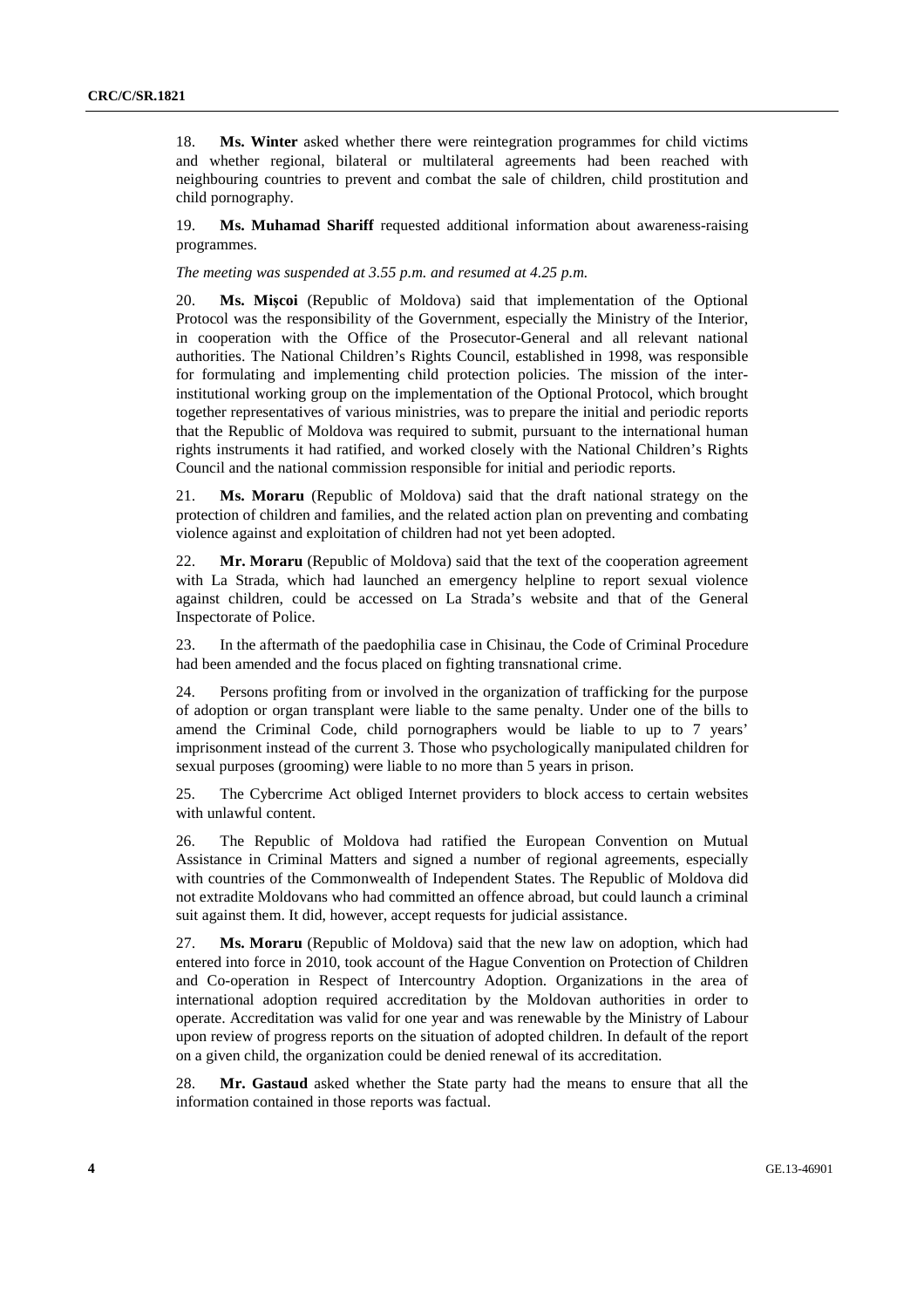18. **Ms. Winter** asked whether there were reintegration programmes for child victims and whether regional, bilateral or multilateral agreements had been reached with neighbouring countries to prevent and combat the sale of children, child prostitution and child pornography.

19. **Ms. Muhamad Shariff** requested additional information about awareness-raising programmes.

*The meeting was suspended at 3.55 p.m. and resumed at 4.25 p.m.* 

20. **Ms. Mişcoi** (Republic of Moldova) said that implementation of the Optional Protocol was the responsibility of the Government, especially the Ministry of the Interior, in cooperation with the Office of the Prosecutor-General and all relevant national authorities. The National Children's Rights Council, established in 1998, was responsible for formulating and implementing child protection policies. The mission of the interinstitutional working group on the implementation of the Optional Protocol, which brought together representatives of various ministries, was to prepare the initial and periodic reports that the Republic of Moldova was required to submit, pursuant to the international human rights instruments it had ratified, and worked closely with the National Children's Rights Council and the national commission responsible for initial and periodic reports.

21. **Ms. Moraru** (Republic of Moldova) said that the draft national strategy on the protection of children and families, and the related action plan on preventing and combating violence against and exploitation of children had not yet been adopted.

22. **Mr. Moraru** (Republic of Moldova) said that the text of the cooperation agreement with La Strada, which had launched an emergency helpline to report sexual violence against children, could be accessed on La Strada's website and that of the General Inspectorate of Police.

23. In the aftermath of the paedophilia case in Chisinau, the Code of Criminal Procedure had been amended and the focus placed on fighting transnational crime.

24. Persons profiting from or involved in the organization of trafficking for the purpose of adoption or organ transplant were liable to the same penalty. Under one of the bills to amend the Criminal Code, child pornographers would be liable to up to 7 years' imprisonment instead of the current 3. Those who psychologically manipulated children for sexual purposes (grooming) were liable to no more than 5 years in prison.

25. The Cybercrime Act obliged Internet providers to block access to certain websites with unlawful content.

26. The Republic of Moldova had ratified the European Convention on Mutual Assistance in Criminal Matters and signed a number of regional agreements, especially with countries of the Commonwealth of Independent States. The Republic of Moldova did not extradite Moldovans who had committed an offence abroad, but could launch a criminal suit against them. It did, however, accept requests for judicial assistance.

27. **Ms. Moraru** (Republic of Moldova) said that the new law on adoption, which had entered into force in 2010, took account of the Hague Convention on Protection of Children and Co-operation in Respect of Intercountry Adoption. Organizations in the area of international adoption required accreditation by the Moldovan authorities in order to operate. Accreditation was valid for one year and was renewable by the Ministry of Labour upon review of progress reports on the situation of adopted children. In default of the report on a given child, the organization could be denied renewal of its accreditation.

28. **Mr. Gastaud** asked whether the State party had the means to ensure that all the information contained in those reports was factual.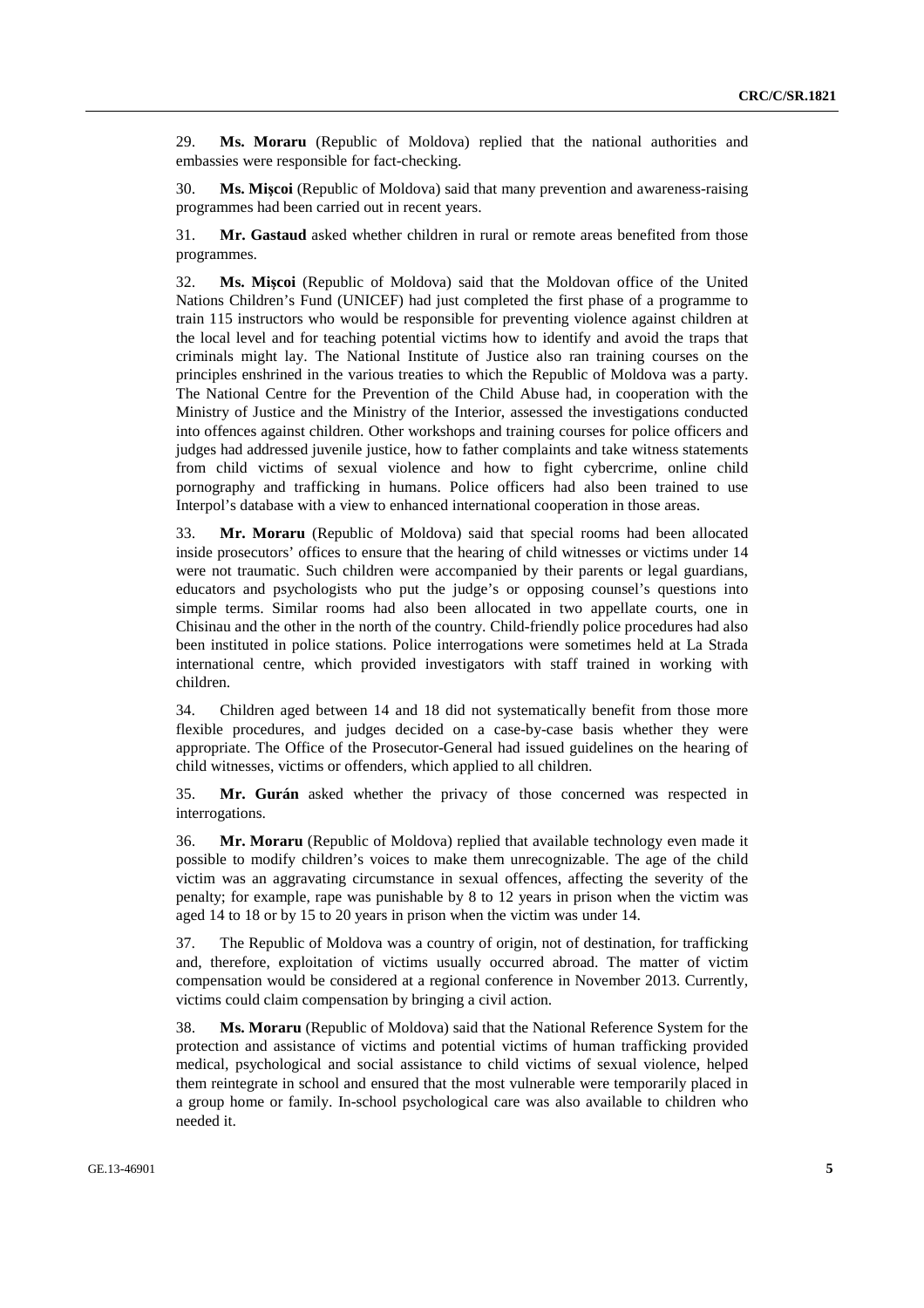29. **Ms. Moraru** (Republic of Moldova) replied that the national authorities and embassies were responsible for fact-checking.

30. **Ms. Mişcoi** (Republic of Moldova) said that many prevention and awareness-raising programmes had been carried out in recent years.

31. **Mr. Gastaud** asked whether children in rural or remote areas benefited from those programmes.

32. **Ms. Mişcoi** (Republic of Moldova) said that the Moldovan office of the United Nations Children's Fund (UNICEF) had just completed the first phase of a programme to train 115 instructors who would be responsible for preventing violence against children at the local level and for teaching potential victims how to identify and avoid the traps that criminals might lay. The National Institute of Justice also ran training courses on the principles enshrined in the various treaties to which the Republic of Moldova was a party. The National Centre for the Prevention of the Child Abuse had, in cooperation with the Ministry of Justice and the Ministry of the Interior, assessed the investigations conducted into offences against children. Other workshops and training courses for police officers and judges had addressed juvenile justice, how to father complaints and take witness statements from child victims of sexual violence and how to fight cybercrime, online child pornography and trafficking in humans. Police officers had also been trained to use Interpol's database with a view to enhanced international cooperation in those areas.

33. **Mr. Moraru** (Republic of Moldova) said that special rooms had been allocated inside prosecutors' offices to ensure that the hearing of child witnesses or victims under 14 were not traumatic. Such children were accompanied by their parents or legal guardians, educators and psychologists who put the judge's or opposing counsel's questions into simple terms. Similar rooms had also been allocated in two appellate courts, one in Chisinau and the other in the north of the country. Child-friendly police procedures had also been instituted in police stations. Police interrogations were sometimes held at La Strada international centre, which provided investigators with staff trained in working with children.

34. Children aged between 14 and 18 did not systematically benefit from those more flexible procedures, and judges decided on a case-by-case basis whether they were appropriate. The Office of the Prosecutor-General had issued guidelines on the hearing of child witnesses, victims or offenders, which applied to all children.

35. **Mr. Gurán** asked whether the privacy of those concerned was respected in interrogations.

36. **Mr. Moraru** (Republic of Moldova) replied that available technology even made it possible to modify children's voices to make them unrecognizable. The age of the child victim was an aggravating circumstance in sexual offences, affecting the severity of the penalty; for example, rape was punishable by 8 to 12 years in prison when the victim was aged 14 to 18 or by 15 to 20 years in prison when the victim was under 14.

37. The Republic of Moldova was a country of origin, not of destination, for trafficking and, therefore, exploitation of victims usually occurred abroad. The matter of victim compensation would be considered at a regional conference in November 2013. Currently, victims could claim compensation by bringing a civil action.

38. **Ms. Moraru** (Republic of Moldova) said that the National Reference System for the protection and assistance of victims and potential victims of human trafficking provided medical, psychological and social assistance to child victims of sexual violence, helped them reintegrate in school and ensured that the most vulnerable were temporarily placed in a group home or family. In-school psychological care was also available to children who needed it.